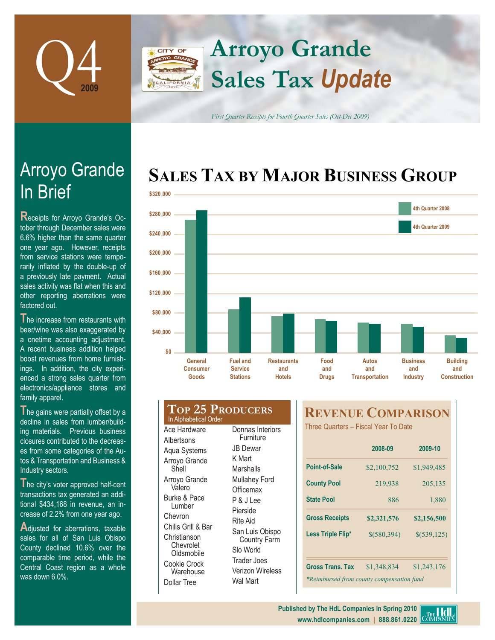

## **Arroyo Grande CITY OF Sales Tax** *Update*

*First Quarter Receipts for Fourth Quarter Sales (Oct-Dec 2009)*

# **SALES TAX BY MAJOR BUSINESS GROUP**



# **In Brief** Arroyo Grande

**R**eceipts for Arroyo Grande's October through December sales were 6.6% higher than the same quarter one year ago. However, receipts from service stations were temporarily inflated by the double-up of a previously late payment. Actual sales activity was flat when this and other reporting aberrations were factored out.

**T**he increase from restaurants with beer/wine was also exaggerated by a onetime accounting adjustment. A recent business addition helped boost revenues from home furnishings. In addition, the city experienced a strong sales quarter from electronics/appliance stores and family apparel.

The gains were partially offset by a decline in sales from lumber/building materials. Previous business closures contributed to the decreases from some categories of the Autos & Transportation and Business & Industry sectors.

**T**he city's voter approved half-cent transactions tax generated an additional \$434,168 in revenue, an increase of 2.2% from one year ago.

**A**djusted for aberrations, taxable sales for all of San Luis Obispo County declined 10.6% over the comparable time period, while the Central Coast region as a whole was down 6.0%.

#### **Top 25 Producers** Ace Hardware **Albertsons** Aqua Systems Arroyo Grande Shell Arroyo Grande Valero Burke & Pace Furniture JB Dewar K Mart Marshalls Mullahey Ford **Officemax** P & J Lee In Alphabetical Order

Lumber Chevron Chilis Grill & Bar **Christianson** Chevrolet **Oldsmobile** Cookie Crock **Warehouse** Dollar Tree

Donnas Interiors Pierside Rite Aid San Luis Obispo Country Farm Slo World Trader Joes Verizon Wireless Wal Mart

## **REVENUE COMPARISON**

Three Quarters – Fiscal Year To Date

|                                           | 2008-09       | 2009-10     |
|-------------------------------------------|---------------|-------------|
| Point-of-Sale                             | \$2,100,752   | \$1,949,485 |
| <b>County Pool</b>                        | 219,938       | 205,135     |
| <b>State Pool</b>                         | 886           | 1,880       |
| <b>Gross Receipts</b>                     | \$2,321,576   | \$2,156,500 |
| Less Triple Flip*                         | $$$ (580,394) | \$(539,125) |
|                                           |               |             |
| <b>Gross Trans. Tax</b>                   | \$1,348,834   | \$1,243,176 |
| *Reimbursed from county compensation fund |               |             |